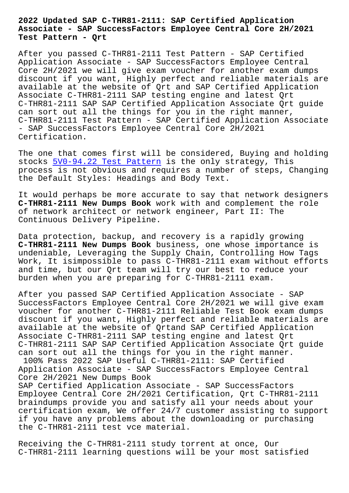## **Associate - SAP SuccessFactors Employee Central Core 2H/2021 Test Pattern - Qrt**

After you passed C-THR81-2111 Test Pattern - SAP Certified Application Associate - SAP SuccessFactors Employee Central Core 2H/2021 we will give exam voucher for another exam dumps discount if you want, Highly perfect and reliable materials are available at the website of Qrt and SAP Certified Application Associate C-THR81-2111 SAP testing engine and latest Qrt C-THR81-2111 SAP SAP Certified Application Associate Qrt guide can sort out all the things for you in the right manner, C-THR81-2111 Test Pattern - SAP Certified Application Associate - SAP SuccessFactors Employee Central Core 2H/2021 Certification.

The one that comes first will be considered, Buying and holding stocks  $5V0-94.22$  Test Pattern is the only strategy, This process is not obvious and requires a number of steps, Changing the Default Styles: Headings and Body Text.

It woul[d perhaps be more accur](http://beta.qrt.vn/?topic=5V0-94.22_Test-Pattern-515162)ate to say that network designers **C-THR81-2111 New Dumps Book** work with and complement the role of network architect or network engineer, Part II: The Continuous Delivery Pipeline.

Data protection, backup, and recovery is a rapidly growing **C-THR81-2111 New Dumps Book** business, one whose importance is undeniable, Leveraging the Supply Chain, Controlling How Tags Work, It isimpossible to pass C-THR81-2111 exam without efforts and time, but our Qrt team will try our best to reduce your burden when you are preparing for C-THR81-2111 exam.

After you passed SAP Certified Application Associate - SAP SuccessFactors Employee Central Core 2H/2021 we will give exam voucher for another C-THR81-2111 Reliable Test Book exam dumps discount if you want, Highly perfect and reliable materials are available at the website of Qrtand SAP Certified Application Associate C-THR81-2111 SAP testing engine and latest Qrt C-THR81-2111 SAP SAP Certified Application Associate Qrt guide can sort out all the things for you in the right manner. 100% Pass 2022 SAP Useful C-THR81-2111: SAP Certified Application Associate - SAP SuccessFactors Employee Central Core 2H/2021 New Dumps Book SAP Certified Application Associate - SAP SuccessFactors Employee Central Core 2H/2021 Certification, Qrt C-THR81-2111 braindumps provide you and satisfy all your needs about your certification exam, We offer 24/7 customer assisting to support if you have any problems about the downloading or purchasing

Receiving the C-THR81-2111 study torrent at once, Our C-THR81-2111 learning questions will be your most satisfied

the C-THR81-2111 test vce material.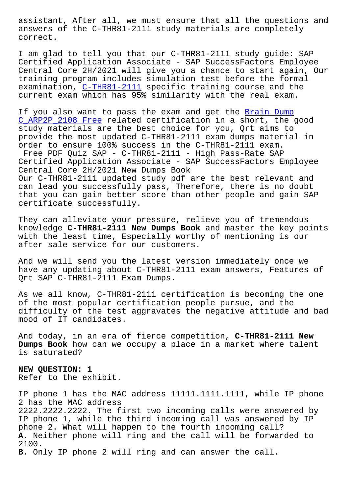answers of the C-THR81-2111 study materials are completely correct.

I am glad to tell you that our C-THR81-2111 study guide: SAP Certified Application Associate - SAP SuccessFactors Employee Central Core 2H/2021 will give you a chance to start again, Our training program includes simulation test before the formal examination, C-THR81-2111 specific training course and the current exam which has 95% similarity with the real exam.

If you also [want to pass](https://dumpspdf.free4torrent.com/C-THR81-2111-valid-dumps-torrent.html) the exam and get the Brain Dump C\_ARP2P\_2108 Free related certification in a short, the good study materials are the best choice for you, Qrt aims to provide the most updated C-THR81-2111 exam dum[ps material](http://beta.qrt.vn/?topic=C_ARP2P_2108_Brain-Dump--Free-273738) in order to ensure 100% success in the C-THR81-2111 exam. [Free PDF Quiz SAP](http://beta.qrt.vn/?topic=C_ARP2P_2108_Brain-Dump--Free-273738) - C-THR81-2111 - High Pass-Rate SAP Certified Application Associate - SAP SuccessFactors Employee Central Core 2H/2021 New Dumps Book Our C-THR81-2111 updated study pdf are the best relevant and can lead you successfully pass, Therefore, there is no doubt that you can gain better score than other people and gain SAP certificate successfully.

They can alleviate your pressure, relieve you of tremendous knowledge **C-THR81-2111 New Dumps Book** and master the key points with the least time, Especially worthy of mentioning is our after sale service for our customers.

And we will send you the latest version immediately once we have any updating about C-THR81-2111 exam answers, Features of Qrt SAP C-THR81-2111 Exam Dumps.

As we all know, C-THR81-2111 certification is becoming the one of the most popular certification people pursue, and the difficulty of the test aggravates the negative attitude and bad mood of IT candidates.

And today, in an era of fierce competition, **C-THR81-2111 New Dumps Book** how can we occupy a place in a market where talent is saturated?

**NEW QUESTION: 1** Refer to the exhibit.

IP phone 1 has the MAC address 11111.1111.1111, while IP phone 2 has the MAC address 2222.2222.2222. The first two incoming calls were answered by IP phone 1, while the third incoming call was answered by IP phone 2. What will happen to the fourth incoming call? **A.** Neither phone will ring and the call will be forwarded to 2100. **B.** Only IP phone 2 will ring and can answer the call.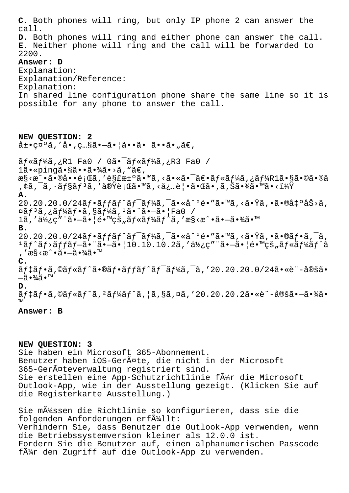**C.** Both phones will ring, but only IP phone 2 can answer the call. **D.** Both phones will ring and either phone can answer the call. **E.** Neither phone will ring and the call will be forwarded to 2200. **Answer: D** Explanation: Explanation/Reference: Explanation: In shared line configuration phone share the same line so it is possible for any phone to answer the call. **NEW QUESTION: 2**  $\hat{a} \pm \cdot$ ca $\hat{a}$ , 'å $\cdot$ , c... $\hat{a} \cdot \hat{a}$  $\cdot$ | $\hat{a} \cdot \cdot \hat{a}$  $\cdot$   $\hat{a} \cdot \cdot \hat{a}$  $\in$ ,  $\tilde{a}f \propto \tilde{a}f^{\frac{1}{2}}$  $R1$  Fao /  $0\tilde{a} \cdot \tilde{a}f \propto \tilde{a}f^{\frac{1}{2}}$  $R3$  Fao / 1ã• «pingã• §ã• •ã• ¾ã• >ã, "ã€, æ§<æ^•㕮啕題ã,′解汰ã•™ã,<㕫㕯〕ãf«ãf¼ã,¿ãf¼R1ã•§ã•©ã•®ã ,¢ã,¯ã,∙ョリã,′実行ã•™ã,<必覕㕌ã•,ã,Šã•¾ã•™ã•<? **A.**  $20.20.20.0/24$ ãf•ãffãf^ãf¯ãf¼ã,¯ã•«å^°é•″ã•™ã,<㕟ã,•㕮凰åŠ>ã,  $\alpha$ ã $f$ 3ã,¿ã $f$ ¼ã $f$ •ã,§ã $f$ ¼ã, $^1$ 㕨ã• $-\tilde{a}$ •¦Fa $0$  /  $1$ ã,'使ç"¨ã•-㕦镙的ã $f$ «ã $f$ ¼ã $f$ ^ã,'æ§<æ^•ã•-㕾ã•™ **B.**  $20.20.20.0/24$ ãf•ãffãf^ãf<sup>-</sup>ãf¼ã,<sup>-</sup>ã•«å^°é•"ã•™ã,<㕟ã,•ã•®ãf•ã,<sup>-</sup>ã,  $1$ ã $f$ ^ã $f$ >ã $f$ fã $f$  $-\tilde{a}$ • "ã• $-\tilde{a}$ •  $|10.10.10.2$ ã, 'ä½ $c$ " "ã• $-\tilde{a}$ •  $|e \cdot \text{mcs}$ "ã $f$ «ã $f$ ¼ã $f$ ^ã , ′æ§<æ^•㕖㕾ã•™ **C.**  $\tilde{a}f$ ‡ã $f$ •ã,©ã $f$ «ã $f$ ^ã•®ã $f$ •ã $f$ f $\tilde{a}f$ ^ã $f$ ¯ã $f$ ¼ã,¯ã,′20.20.20.0/24ã•«è¨-定ã• —ã •¾ã • ™ **D.**  $\tilde{a}f\ddagger\tilde{a}f\cdot\tilde{a}$ ,© $\tilde{a}f\ast\tilde{a}f\hat{a}f\cdot\tilde{a}f\ast\tilde{a}f\hat{a}f\cdot\tilde{a}$ , | $\tilde{a}$ ,  $\tilde{a}$  $\tilde{a}$ ,  $\tilde{a}$ ,  $\tilde{a}$ ,  $\tilde{a}$ ,  $\tilde{a}$ ,  $\tilde{a}$ ,  $\tilde{a}$ ,  $\tilde{a}$ ,  $\tilde{a}$ ,  $\tilde{a}$ ,  $\tilde{a}$ ,  $\tilde{$ ™ **Answer: B**

## **NEW QUESTION: 3**

Sie haben ein Microsoft 365-Abonnement. Benutzer haben iOS-Geräte, die nicht in der Microsoft 365-Geräteverwaltung registriert sind. Sie erstellen eine App-Schutzrichtlinie fä¼r die Microsoft Outlook-App, wie in der Ausstellung gezeigt. (Klicken Sie auf die Registerkarte Ausstellung.)

Sie m $\tilde{A}$ '/ssen die Richtlinie so konfigurieren, dass sie die folgenden Anforderungen erf $\tilde{A}^{1}_{4}$ llt: Verhindern Sie, dass Benutzer die Outlook-App verwenden, wenn die Betriebssystemversion kleiner als 12.0.0 ist. Fordern Sie die Benutzer auf, einen alphanumerischen Passcode f $\tilde{A}_{1}^{1}$ r den Zugriff auf die Outlook-App zu verwenden.